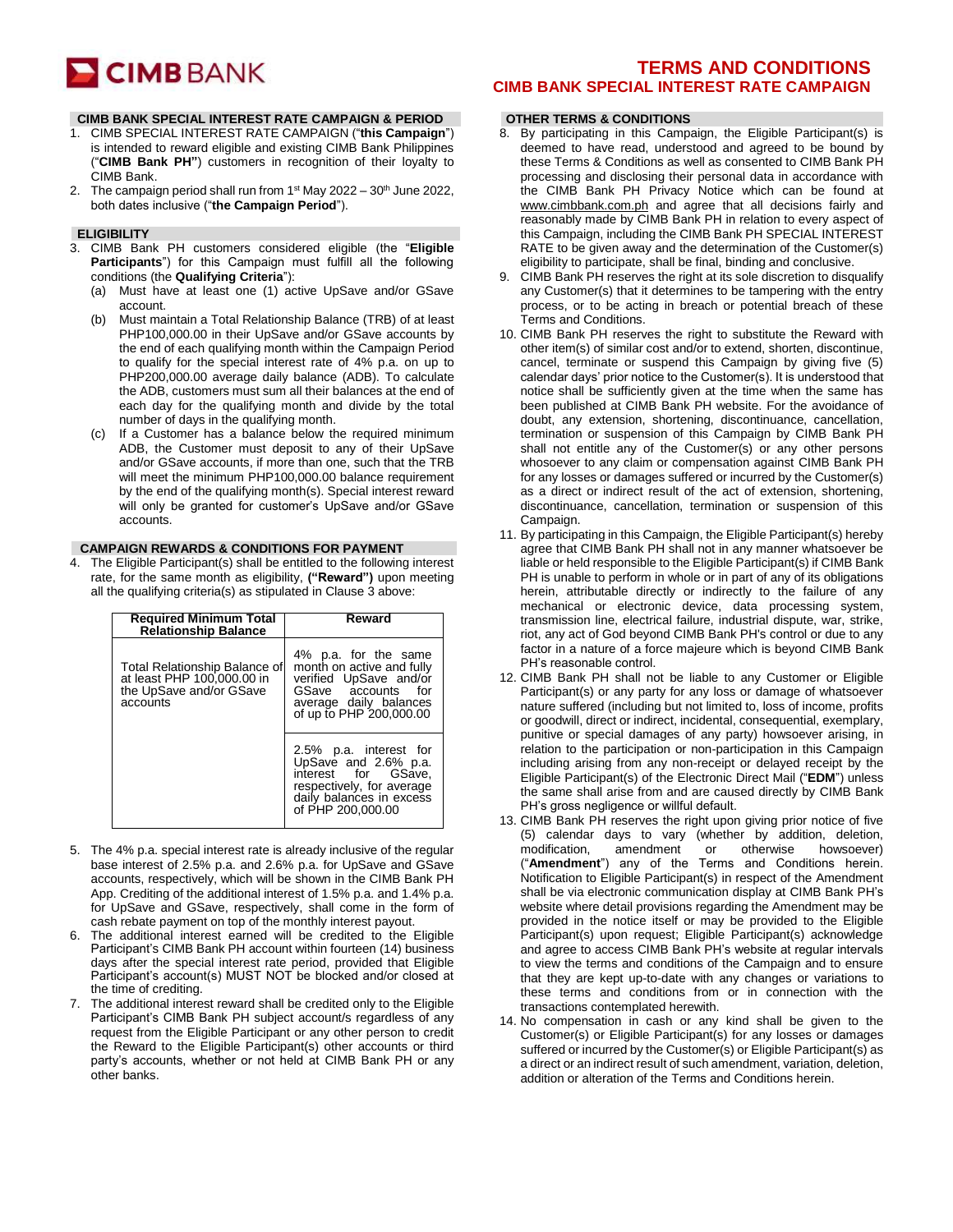# **CIMB** BANK

#### **CIMB BANK SPECIAL INTEREST RATE CAMPAIGN & PERIOD**

- 1. CIMB SPECIAL INTEREST RATE CAMPAIGN ("**this Campaign**") is intended to reward eligible and existing CIMB Bank Philippines ("**CIMB Bank PH"**) customers in recognition of their loyalty to CIMB Bank.
- 2. The campaign period shall run from  $1<sup>st</sup>$  May 2022  $-30<sup>th</sup>$  June 2022, both dates inclusive ("**the Campaign Period**").

## **ELIGIBILITY**

- 3. CIMB Bank PH customers considered eligible (the "**Eligible Participants**") for this Campaign must fulfill all the following conditions (the **Qualifying Criteria**"):
	- (a) Must have at least one (1) active UpSave and/or GSave account.
	- (b) Must maintain a Total Relationship Balance (TRB) of at least PHP100,000.00 in their UpSave and/or GSave accounts by the end of each qualifying month within the Campaign Period to qualify for the special interest rate of 4% p.a. on up to PHP200,000.00 average daily balance (ADB). To calculate the ADB, customers must sum all their balances at the end of each day for the qualifying month and divide by the total number of days in the qualifying month.
	- (c) If a Customer has a balance below the required minimum ADB, the Customer must deposit to any of their UpSave and/or GSave accounts, if more than one, such that the TRB will meet the minimum PHP100,000.00 balance requirement by the end of the qualifying month(s). Special interest reward will only be granted for customer's UpSave and/or GSave accounts.

#### **CAMPAIGN REWARDS & CONDITIONS FOR PAYMENT**

4. The Eligible Participant(s) shall be entitled to the following interest rate, for the same month as eligibility, **("Reward")** upon meeting all the qualifying criteria(s) as stipulated in Clause 3 above:

| <b>Required Minimum Total</b><br><b>Relationship Balance</b>                                       | Reward                                                                                                                                                 |
|----------------------------------------------------------------------------------------------------|--------------------------------------------------------------------------------------------------------------------------------------------------------|
| Total Relationship Balance of<br>at least PHP 100,000.00 in<br>the UpSave and/or GSave<br>accounts | 4% p.a. for the same<br>month on active and fully<br>verified UpSave and/or<br>GSave accounts for<br>average daily balances<br>of up to PHP 200,000.00 |
|                                                                                                    | 2.5% p.a. interest for<br>UpSave and 2.6% p.a.<br>interest for GSave.<br>respectively, for average<br>daily balances in excess<br>of PHP 200,000,00    |

- 5. The 4% p.a. special interest rate is already inclusive of the regular base interest of 2.5% p.a. and 2.6% p.a. for UpSave and GSave accounts, respectively, which will be shown in the CIMB Bank PH App. Crediting of the additional interest of 1.5% p.a. and 1.4% p.a. for UpSave and GSave, respectively, shall come in the form of cash rebate payment on top of the monthly interest payout.
- The additional interest earned will be credited to the Eligible Participant's CIMB Bank PH account within fourteen (14) business days after the special interest rate period, provided that Eligible Participant's account(s) MUST NOT be blocked and/or closed at the time of crediting.
- 7. The additional interest reward shall be credited only to the Eligible Participant's CIMB Bank PH subject account/s regardless of any request from the Eligible Participant or any other person to credit the Reward to the Eligible Participant(s) other accounts or third party's accounts, whether or not held at CIMB Bank PH or any other banks.

# **TERMS AND CONDITIONS CIMB BANK SPECIAL INTEREST RATE CAMPAIGN**

## **OTHER TERMS & CONDITIONS**

- 8. By participating in this Campaign, the Eligible Participant(s) is deemed to have read, understood and agreed to be bound by these Terms & Conditions as well as consented to CIMB Bank PH processing and disclosing their personal data in accordance with the CIMB Bank PH Privacy Notice which can be found at [www.cimbbank.com.ph](http://www.cimbbank.com.ph/) and agree that all decisions fairly and reasonably made by CIMB Bank PH in relation to every aspect of this Campaign, including the CIMB Bank PH SPECIAL INTEREST RATE to be given away and the determination of the Customer(s) eligibility to participate, shall be final, binding and conclusive.
- 9. CIMB Bank PH reserves the right at its sole discretion to disqualify any Customer(s) that it determines to be tampering with the entry process, or to be acting in breach or potential breach of these Terms and Conditions.
- 10. CIMB Bank PH reserves the right to substitute the Reward with other item(s) of similar cost and/or to extend, shorten, discontinue, cancel, terminate or suspend this Campaign by giving five (5) calendar days' prior notice to the Customer(s). It is understood that notice shall be sufficiently given at the time when the same has been published at CIMB Bank PH website. For the avoidance of doubt, any extension, shortening, discontinuance, cancellation, termination or suspension of this Campaign by CIMB Bank PH shall not entitle any of the Customer(s) or any other persons whosoever to any claim or compensation against CIMB Bank PH for any losses or damages suffered or incurred by the Customer(s) as a direct or indirect result of the act of extension, shortening, discontinuance, cancellation, termination or suspension of this Campaign.
- 11. By participating in this Campaign, the Eligible Participant(s) hereby agree that CIMB Bank PH shall not in any manner whatsoever be liable or held responsible to the Eligible Participant(s) if CIMB Bank PH is unable to perform in whole or in part of any of its obligations herein, attributable directly or indirectly to the failure of any mechanical or electronic device, data processing system, transmission line, electrical failure, industrial dispute, war, strike, riot, any act of God beyond CIMB Bank PH's control or due to any factor in a nature of a force majeure which is beyond CIMB Bank PH's reasonable control.
- 12. CIMB Bank PH shall not be liable to any Customer or Eligible Participant(s) or any party for any loss or damage of whatsoever nature suffered (including but not limited to, loss of income, profits or goodwill, direct or indirect, incidental, consequential, exemplary, punitive or special damages of any party) howsoever arising, in relation to the participation or non-participation in this Campaign including arising from any non-receipt or delayed receipt by the Eligible Participant(s) of the Electronic Direct Mail ("**EDM**") unless the same shall arise from and are caused directly by CIMB Bank PH's gross negligence or willful default.
- 13. CIMB Bank PH reserves the right upon giving prior notice of five (5) calendar days to vary (whether by addition, deletion, modification, amendment or otherwise howsoever) ("**Amendment**") any of the Terms and Conditions herein. Notification to Eligible Participant(s) in respect of the Amendment shall be via electronic communication display at CIMB Bank PH's website where detail provisions regarding the Amendment may be provided in the notice itself or may be provided to the Eligible Participant(s) upon request; Eligible Participant(s) acknowledge and agree to access CIMB Bank PH's website at regular intervals to view the terms and conditions of the Campaign and to ensure that they are kept up-to-date with any changes or variations to these terms and conditions from or in connection with the transactions contemplated herewith.
- 14. No compensation in cash or any kind shall be given to the Customer(s) or Eligible Participant(s) for any losses or damages suffered or incurred by the Customer(s) or Eligible Participant(s) as a direct or an indirect result of such amendment, variation, deletion, addition or alteration of the Terms and Conditions herein.